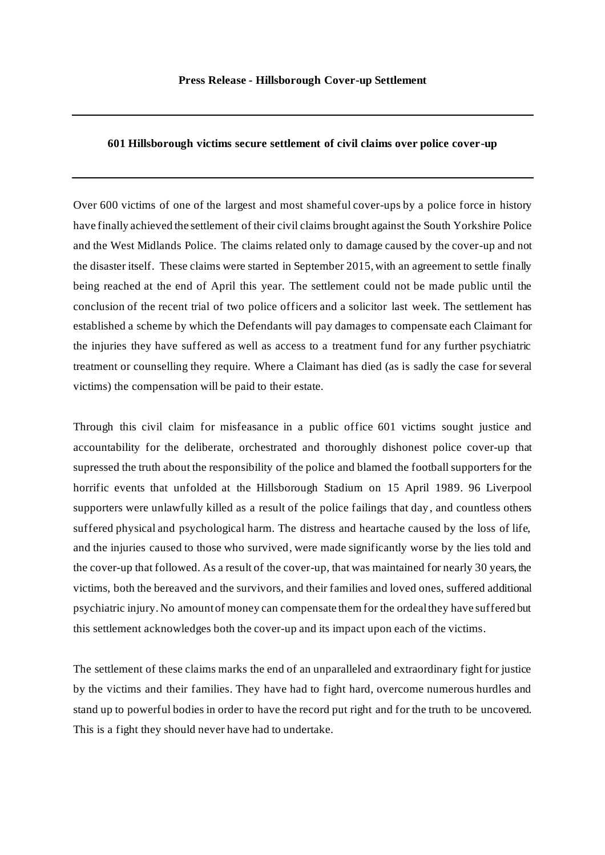## **601 Hillsborough victims secure settlement of civil claims over police cover-up**

Over 600 victims of one of the largest and most shameful cover-ups by a police force in history have finally achieved the settlement of their civil claims brought against the South Yorkshire Police and the West Midlands Police. The claims related only to damage caused by the cover-up and not the disaster itself. These claims were started in September 2015, with an agreement to settle finally being reached at the end of April this year. The settlement could not be made public until the conclusion of the recent trial of two police officers and a solicitor last week. The settlement has established a scheme by which the Defendants will pay damages to compensate each Claimant for the injuries they have suffered as well as access to a treatment fund for any further psychiatric treatment or counselling they require. Where a Claimant has died (as is sadly the case for several victims) the compensation will be paid to their estate.

Through this civil claim for misfeasance in a public office 601 victims sought justice and accountability for the deliberate, orchestrated and thoroughly dishonest police cover-up that supressed the truth about the responsibility of the police and blamed the football supporters for the horrific events that unfolded at the Hillsborough Stadium on 15 April 1989. 96 Liverpool supporters were unlawfully killed as a result of the police failings that day, and countless others suffered physical and psychological harm. The distress and heartache caused by the loss of life, and the injuries caused to those who survived, were made significantly worse by the lies told and the cover-up that followed. As a result of the cover-up, that was maintained for nearly 30 years, the victims, both the bereaved and the survivors, and their families and loved ones, suffered additional psychiatric injury. No amount of money can compensate them for the ordeal they have suffered but this settlement acknowledges both the cover-up and its impact upon each of the victims.

The settlement of these claims marks the end of an unparalleled and extraordinary fight for justice by the victims and their families. They have had to fight hard, overcome numerous hurdles and stand up to powerful bodies in order to have the record put right and for the truth to be uncovered. This is a fight they should never have had to undertake.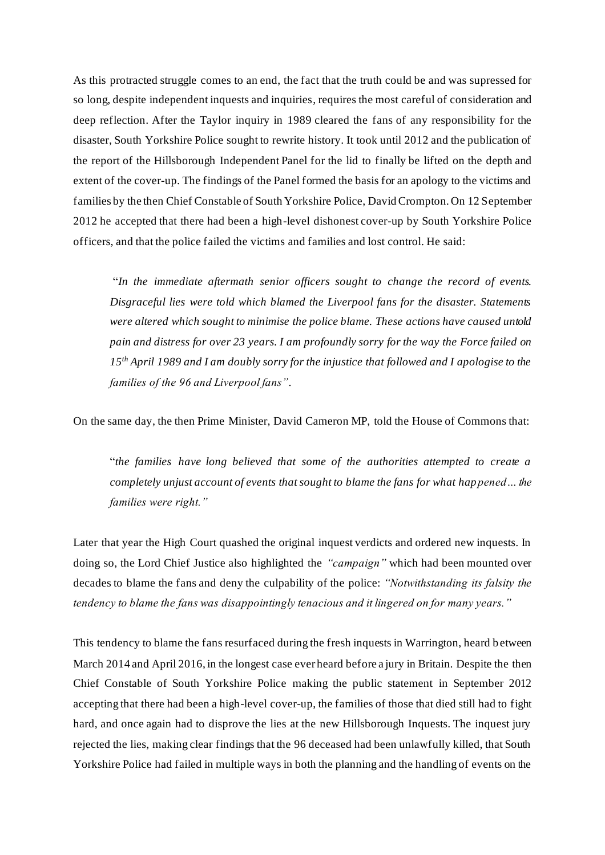As this protracted struggle comes to an end, the fact that the truth could be and was supressed for so long, despite independent inquests and inquiries, requires the most careful of consideration and deep reflection. After the Taylor inquiry in 1989 cleared the fans of any responsibility for the disaster, South Yorkshire Police sought to rewrite history. It took until 2012 and the publication of the report of the Hillsborough Independent Panel for the lid to finally be lifted on the depth and extent of the cover-up. The findings of the Panel formed the basis for an apology to the victims and families by the then Chief Constable of South Yorkshire Police, David Crompton. On 12 September 2012 he accepted that there had been a high-level dishonest cover-up by South Yorkshire Police officers, and that the police failed the victims and families and lost control. He said:

"*In the immediate aftermath senior officers sought to change the record of events. Disgraceful lies were told which blamed the Liverpool fans for the disaster. Statements were altered which sought to minimise the police blame. These actions have caused untold pain and distress for over 23 years. I am profoundly sorry for the way the Force failed on 15th April 1989 and I am doubly sorry for the injustice that followed and I apologise to the families of the 96 and Liverpool fans"*.

On the same day, the then Prime Minister, David Cameron MP, told the House of Commons that:

"*the families have long believed that some of the authorities attempted to create a completely unjust account of events that sought to blame the fans for what happened… the families were right."* 

Later that year the High Court quashed the original inquest verdicts and ordered new inquests. In doing so, the Lord Chief Justice also highlighted the *"campaign"* which had been mounted over decades to blame the fans and deny the culpability of the police: *"Notwithstanding its falsity the tendency to blame the fans was disappointingly tenacious and it lingered on for many years."*

This tendency to blame the fans resurfaced during the fresh inquests in Warrington, heard b etween March 2014 and April 2016, in the longest case ever heard before a jury in Britain. Despite the then Chief Constable of South Yorkshire Police making the public statement in September 2012 accepting that there had been a high-level cover-up, the families of those that died still had to fight hard, and once again had to disprove the lies at the new Hillsborough Inquests. The inquest jury rejected the lies, making clear findings that the 96 deceased had been unlawfully killed, that South Yorkshire Police had failed in multiple ways in both the planning and the handling of events on the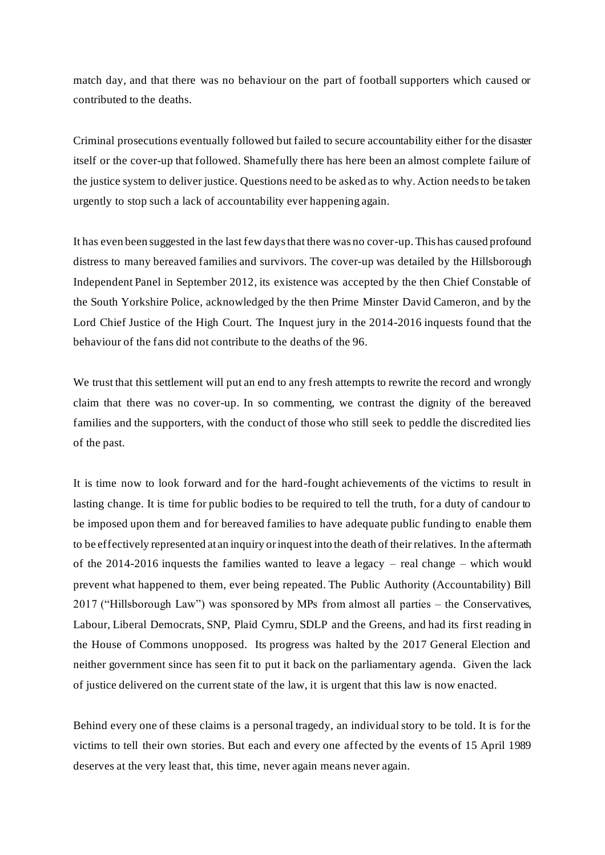match day, and that there was no behaviour on the part of football supporters which caused or contributed to the deaths.

Criminal prosecutions eventually followed but failed to secure accountability either for the disaster itself or the cover-up that followed. Shamefully there has here been an almost complete failure of the justice system to deliver justice. Questions need to be asked as to why. Action needs to be taken urgently to stop such a lack of accountability ever happening again.

It has even been suggested in the last few days that there was no cover-up.This has caused profound distress to many bereaved families and survivors. The cover-up was detailed by the Hillsborough Independent Panel in September 2012, its existence was accepted by the then Chief Constable of the South Yorkshire Police, acknowledged by the then Prime Minster David Cameron, and by the Lord Chief Justice of the High Court. The Inquest jury in the 2014-2016 inquests found that the behaviour of the fans did not contribute to the deaths of the 96.

We trust that this settlement will put an end to any fresh attempts to rewrite the record and wrongly claim that there was no cover-up. In so commenting, we contrast the dignity of the bereaved families and the supporters, with the conduct of those who still seek to peddle the discredited lies of the past.

It is time now to look forward and for the hard-fought achievements of the victims to result in lasting change. It is time for public bodies to be required to tell the truth, for a duty of candour to be imposed upon them and for bereaved families to have adequate public funding to enable them to be effectively represented at an inquiry or inquest into the death of their relatives. In the aftermath of the 2014-2016 inquests the families wanted to leave a legacy – real change – which would prevent what happened to them, ever being repeated. The Public Authority (Accountability) Bill 2017 ("Hillsborough Law") was sponsored by MPs from almost all parties – the Conservatives, Labour, Liberal Democrats, SNP, Plaid Cymru, SDLP and the Greens, and had its first reading in the House of Commons unopposed. Its progress was halted by the 2017 General Election and neither government since has seen fit to put it back on the parliamentary agenda. Given the lack of justice delivered on the current state of the law, it is urgent that this law is now enacted.

Behind every one of these claims is a personal tragedy, an individual story to be told. It is for the victims to tell their own stories. But each and every one affected by the events of 15 April 1989 deserves at the very least that, this time, never again means never again.